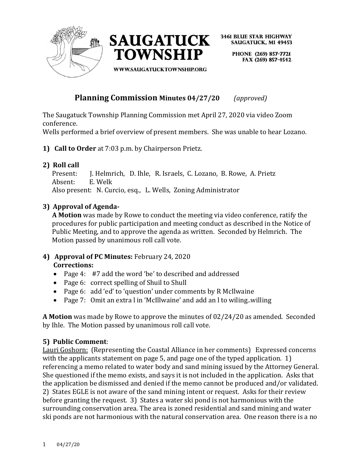



> PHONE (269) 857-7721 FAX (269) 857-4542

**WWW.SAUGATUCKTOWNSHIP.ORG** 

# **Planning Commission Minutes 04/27/20** *(approved)*

The Saugatuck Township Planning Commission met April 27, 2020 via video Zoom conference.

Wells performed a brief overview of present members. She was unable to hear Lozano.

**1) Call to Order** at 7:03 p.m. by Chairperson Prietz.

# **2) Roll call**

 Present: J. Helmrich, D. Ihle, R. Israels, C. Lozano, B. Rowe, A. Prietz Absent: E. Welk Also present: N. Curcio, esq., L. Wells, Zoning Administrator

## **3) Approval of Agenda-**

**A Motion** was made by Rowe to conduct the meeting via video conference, ratify the procedures for public participation and meeting conduct as described in the Notice of Public Meeting, and to approve the agenda as written. Seconded by Helmrich. The Motion passed by unanimous roll call vote.

## **4) Approval of PC Minutes:** February 24, 2020 **Corrections:**

- Page 4: #7 add the word 'be' to described and addressed
- Page 6: correct spelling of Shuil to Shull
- Page 6: add 'ed' to 'question' under comments by R McIlwaine
- Page 7: Omit an extra l in 'McIllwaine' and add an l to wiling..willing

**A Motion** was made by Rowe to approve the minutes of 02/24/20 as amended. Seconded by Ihle. The Motion passed by unanimous roll call vote.

## **5) Public Comment**:

Lauri Goshorn: (Representing the Coastal Alliance in her comments) Expressed concerns with the applicants statement on page 5, and page one of the typed application. 1) referencing a memo related to water body and sand mining issued by the Attorney General. She questioned if the memo exists, and says it is not included in the application. Asks that the application be dismissed and denied if the memo cannot be produced and/or validated. 2) States EGLE is not aware of the sand mining intent or request. Asks for their review before granting the request. 3) States a water ski pond is not harmonious with the surrounding conservation area. The area is zoned residential and sand mining and water ski ponds are not harmonious with the natural conservation area. One reason there is a no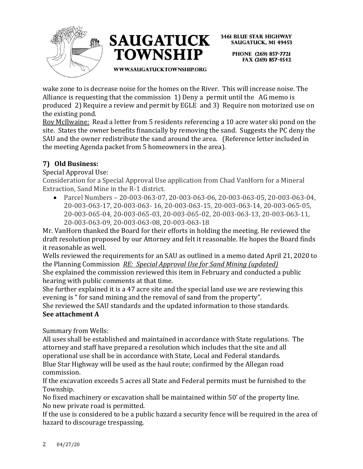



> PHONE (269) 857-7721 FAX (269) 857-4542

WWW.SAUGATUCKTOWNSHIP.ORG

wake zone to is decrease noise for the homes on the River. This will increase noise. The Alliance is requesting that the commission 1) Deny a permit until the AG memo is produced 2) Require a review and permit by EGLE and 3) Require non motorized use on the existing pond.

Roy McIlwaine: Read a letter from 5 residents referencing a 10 acre water ski pond on the site. States the owner benefits financially by removing the sand. Suggests the PC deny the SAU and the owner redistribute the sand around the area. (Reference letter included in the meeting Agenda packet from 5 homeowners in the area).

# **7) Old Business:**

Special Approval Use:

Consideration for a Special Approval Use application from Chad VanHorn for a Mineral Extraction, Sand Mine in the R-1 district.

• Parcel Numbers – 20-003-063-07, 20-003-063-06, 20-003-063-05, 20-003-063-04, 20-003-063-17, 20-003-063- 16, 20-003-063-15, 20-003-063-14, 20-003-065-05, 20-003-065-04, 20-003-065-03, 20-003-065-02, 20-003-063-13, 20-003-063-11, 20-003-063-09, 20-003-063-08, 20-003-063-18

Mr. VanHorn thanked the Board for their efforts in holding the meeting. He reviewed the draft resolution proposed by our Attorney and felt it reasonable. He hopes the Board finds it reasonable as well.

Wells reviewed the requirements for an SAU as outlined in a memo dated April 21, 2020 to the Planning Commission *RE: Special Approval Use for Sand Mining (updated)* She explained the commission reviewed this item in February and conducted a public

hearing with public comments at that time. She further explained it is a 47 acre site and the special land use we are reviewing this

evening is " for sand mining and the removal of sand from the property".

She reviewed the SAU standards and the updated information to those standards. **See attachment A**

Summary from Wells:

All uses shall be established and maintained in accordance with State regulations. The attorney and staff have prepared a resolution which includes that the site and all operational use shall be in accordance with State, Local and Federal standards. Blue Star Highway will be used as the haul route; confirmed by the Allegan road commission.

If the excavation exceeds 5 acres all State and Federal permits must be furnished to the Township.

No fixed machinery or excavation shall be maintained within 50' of the property line. No new private road is permitted.

If the use is considered to be a public hazard a security fence will be required in the area of hazard to discourage trespassing.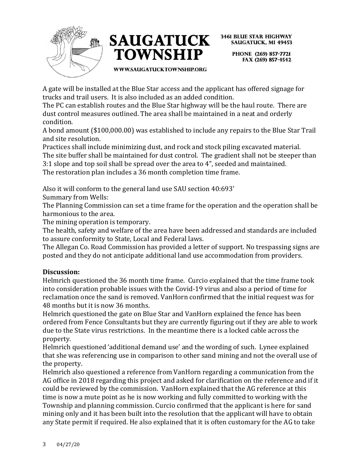



> PHONE (269) 857-7721 FAX (269) 857-4542

**WWW.SAUGATUCKTOWNSHIP.ORG** 

A gate will be installed at the Blue Star access and the applicant has offered signage for trucks and trail users. It is also included as an added condition.

The PC can establish routes and the Blue Star highway will be the haul route. There are dust control measures outlined. The area shall be maintained in a neat and orderly condition.

A bond amount (\$100,000.00) was established to include any repairs to the Blue Star Trail and site resolution.

Practices shall include minimizing dust, and rock and stock piling excavated material. The site buffer shall be maintained for dust control. The gradient shall not be steeper than 3:1 slope and top soil shall be spread over the area to 4", seeded and maintained. The restoration plan includes a 36 month completion time frame.

Also it will conform to the general land use SAU section 40:693'

Summary from Wells:

The Planning Commission can set a time frame for the operation and the operation shall be harmonious to the area.

The mining operation is temporary.

The health, safety and welfare of the area have been addressed and standards are included to assure conformity to State, Local and Federal laws.

The Allegan Co. Road Commission has provided a letter of support. No trespassing signs are posted and they do not anticipate additional land use accommodation from providers.

## **Discussion:**

Helmrich questioned the 36 month time frame. Curcio explained that the time frame took into consideration probable issues with the Covid-19 virus and also a period of time for reclamation once the sand is removed. VanHorn confirmed that the initial request was for 48 months but it is now 36 months.

Helmrich questioned the gate on Blue Star and VanHorn explained the fence has been ordered from Fence Consultants but they are currently figuring out if they are able to work due to the State virus restrictions. In the meantime there is a locked cable across the property.

Helmrich questioned 'additional demand use' and the wording of such. Lynee explained that she was referencing use in comparison to other sand mining and not the overall use of the property.

Helmrich also questioned a reference from VanHorn regarding a communication from the AG office in 2018 regarding this project and asked for clarification on the reference and if it could be reviewed by the commission. VanHorn explained that the AG reference at this time is now a mute point as he is now working and fully committed to working with the Township and planning commission. Curcio confirmed that the applicant is here for sand mining only and it has been built into the resolution that the applicant will have to obtain any State permit if required. He also explained that it is often customary for the AG to take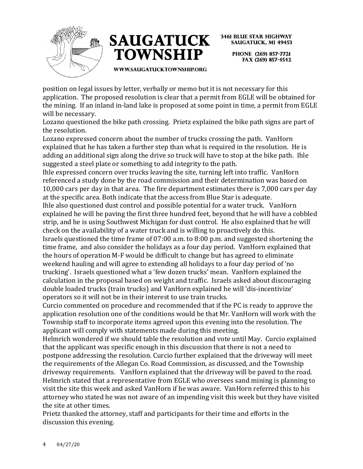



> PHONE (269) 857-7721 FAX (269) 857-4542

WWW.SAUGATUCKTOWNSHIP.ORG

position on legal issues by letter, verbally or memo but it is not necessary for this application. The proposed resolution is clear that a permit from EGLE will be obtained for the mining. If an inland in-land lake is proposed at some point in time, a permit from EGLE will be necessary.

Lozano questioned the bike path crossing. Prietz explained the bike path signs are part of the resolution.

Lozano expressed concern about the number of trucks crossing the path. VanHorn explained that he has taken a further step than what is required in the resolution. He is adding an additional sign along the drive so truck will have to stop at the bike path. Ihle suggested a steel plate or something to add integrity to the path.

Ihle expressed concern over trucks leaving the site, turning left into traffic. VanHorn referenced a study done by the road commission and their determination was based on 10,000 cars per day in that area. The fire department estimates there is 7,000 cars per day at the specific area. Both indicate that the access from Blue Star is adequate.

Ihle also questioned dust control and possible potential for a water truck. VanHorn explained he will be paving the first three hundred feet, beyond that he will have a cobbled strip, and he is using Southwest Michigan for dust control. He also explained that he will check on the availability of a water truck and is willing to proactively do this.

Israels questioned the time frame of 07:00 a.m. to 8:00 p.m. and suggested shortening the time frame, and also consider the holidays as a four day period. VanHorn explained that the hours of operation M-F would be difficult to change but has agreed to eliminate weekend hauling and will agree to extending all holidays to a four day period of 'no trucking'. Israels questioned what a 'few dozen trucks' mean. VanHorn explained the calculation in the proposal based on weight and traffic. Israels asked about discouraging double loaded trucks (train trucks) and VanHorn explained he will 'dis-incentivize' operators so it will not be in their interest to use train trucks.

Curcio commented on procedure and recommended that if the PC is ready to approve the application resolution one of the conditions would be that Mr. VanHorn will work with the Township staff to incorporate items agreed upon this evening into the resolution. The applicant will comply with statements made during this meeting.

Helmrich wondered if we should table the resolution and vote until May. Curcio explained that the applicant was specific enough in this discussion that there is not a need to postpone addressing the resolution. Curcio further explained that the driveway will meet the requirements of the Allegan Co. Road Commission, as discussed, and the Township driveway requirements. VanHorn explained that the driveway will be paved to the road. Helmrich stated that a representative from EGLE who oversees sand mining is planning to visit the site this week and asked VanHorn if he was aware. VanHorn referred this to his attorney who stated he was not aware of an impending visit this week but they have visited the site at other times.

Prietz thanked the attorney, staff and participants for their time and efforts in the discussion this evening.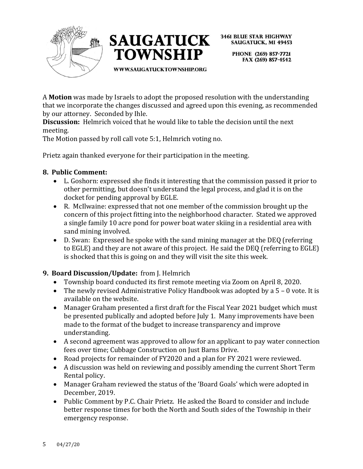



> PHONE (269) 857-7721 FAX (269) 857-4542

WWW.SAUGATUCKTOWNSHIP.ORG

A **Motion** was made by Israels to adopt the proposed resolution with the understanding that we incorporate the changes discussed and agreed upon this evening, as recommended by our attorney. Seconded by Ihle.

**Discussion:** Helmrich voiced that he would like to table the decision until the next meeting.

The Motion passed by roll call vote 5:1, Helmrich voting no.

Prietz again thanked everyone for their participation in the meeting.

## **8. Public Comment:**

- L. Goshorn: expressed she finds it interesting that the commission passed it prior to other permitting, but doesn't understand the legal process, and glad it is on the docket for pending approval by EGLE.
- R. McIlwaine: expressed that not one member of the commission brought up the concern of this project fitting into the neighborhood character. Stated we approved a single family 10 acre pond for power boat water skiing in a residential area with sand mining involved.
- D. Swan: Expressed he spoke with the sand mining manager at the DEQ (referring to EGLE) and they are not aware of this project. He said the DEQ (referring to EGLE) is shocked that this is going on and they will visit the site this week.

# **9. Board Discussion/Update:** from J. Helmrich

- Township board conducted its first remote meeting via Zoom on April 8, 2020.
- The newly revised Administrative Policy Handbook was adopted by a 5 0 vote. It is available on the website.
- Manager Graham presented a first draft for the Fiscal Year 2021 budget which must be presented publically and adopted before July 1. Many improvements have been made to the format of the budget to increase transparency and improve understanding.
- A second agreement was approved to allow for an applicant to pay water connection fees over time; Cubbage Construction on Just Barns Drive.
- Road projects for remainder of FY2020 and a plan for FY 2021 were reviewed.
- A discussion was held on reviewing and possibly amending the current Short Term Rental policy.
- Manager Graham reviewed the status of the 'Board Goals' which were adopted in December, 2019.
- Public Comment by P.C. Chair Prietz. He asked the Board to consider and include better response times for both the North and South sides of the Township in their emergency response.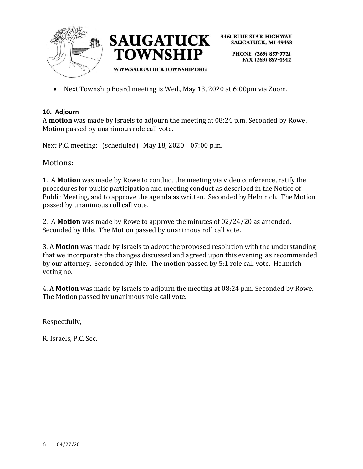



> PHONE (269) 857-7721 FAX (269) 857-4542

• Next Township Board meeting is Wed., May 13, 2020 at 6:00pm via Zoom.

## **10. Adjourn**

A **motion** was made by Israels to adjourn the meeting at 08:24 p.m. Seconded by Rowe. Motion passed by unanimous role call vote.

Next P.C. meeting: (scheduled) May 18, 2020 07:00 p.m.

Motions:

1. A **Motion** was made by Rowe to conduct the meeting via video conference, ratify the procedures for public participation and meeting conduct as described in the Notice of Public Meeting, and to approve the agenda as written. Seconded by Helmrich. The Motion passed by unanimous roll call vote.

2. A **Motion** was made by Rowe to approve the minutes of 02/24/20 as amended. Seconded by Ihle. The Motion passed by unanimous roll call vote.

3. A **Motion** was made by Israels to adopt the proposed resolution with the understanding that we incorporate the changes discussed and agreed upon this evening, as recommended by our attorney. Seconded by Ihle. The motion passed by 5:1 role call vote, Helmrich voting no.

4. A **Motion** was made by Israels to adjourn the meeting at 08:24 p.m. Seconded by Rowe. The Motion passed by unanimous role call vote.

Respectfully,

R. Israels, P.C. Sec.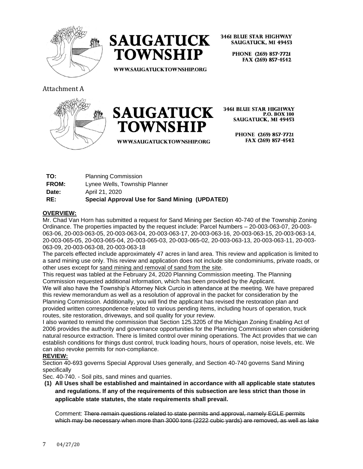



> PHONE (269) 857-7721 FAX (269) 857-4542

WWW.SAUGATUCKTOWNSHIP.ORG

## Attachment A





**WWW.SAUGATUCKTOWNSHIP.ORG** 

**3461 BLUE STAR HIGHWAY P.O. BOX 100 SAUGATUCK, MI 49453** 

> PHONE (269) 857-7721 FAX (269) 857-4542

| RE:          | Special Approval Use for Sand Mining (UPDATED) |
|--------------|------------------------------------------------|
| Date:        | April 21, 2020                                 |
| <b>FROM:</b> | Lynee Wells, Township Planner                  |
| TO:          | <b>Planning Commission</b>                     |

### **OVERVIEW:**

Mr. Chad Van Horn has submitted a request for Sand Mining per Section 40-740 of the Township Zoning Ordinance. The properties impacted by the request include: Parcel Numbers – 20-003-063-07, 20-003- 063-06, 20-003-063-05, 20-003-063-04, 20-003-063-17, 20-003-063-16, 20-003-063-15, 20-003-063-14, 20-003-065-05, 20-003-065-04, 20-003-065-03, 20-003-065-02, 20-003-063-13, 20-003-063-11, 20-003- 063-09, 20-003-063-08, 20-003-063-18

The parcels effected include approximately 47 acres in land area. This review and application is limited to a sand mining use only. This review and application does not include site condominiums, private roads, or other uses except for sand mining and removal of sand from the site.

This request was tabled at the February 24, 2020 Planning Commission meeting. The Planning Commission requested additional information, which has been provided by the Applicant.

We will also have the Township's Attorney Nick Curcio in attendance at the meeting. We have prepared this review memorandum as well as a resolution of approval in the packet for consideration by the Planning Commission. Additionally, you will find the applicant has revised the restoration plan and provided written correspondence related to various pending items, including hours of operation, truck routes, site restoration, driveways, and soil quality for your review.

I also wanted to remind the commission that Section 125.3205 of the Michigan Zoning Enabling Act of 2006 provides the authority and governance opportunities for the Planning Commission when considering natural resource extraction. There is limited control over mining operations. The Act provides that we can establish conditions for things dust control, truck loading hours, hours of operation, noise levels, etc. We can also revoke permits for non-compliance.

## **REVIEW:**

Section 40-693 governs Special Approval Uses generally, and Section 40-740 governs Sand Mining specifically

Sec. 40-740. - Soil pits, sand mines and quarries.

**(1) All Uses shall be established and maintained in accordance with all applicable state statutes and regulations. If any of the requirements of this subsection are less strict than those in applicable state statutes, the state requirements shall prevail.** 

Comment: There remain questions related to state permits and approval, namely EGLE permits which may be necessary when more than 3000 tons (2222 cubic vards) are removed, as well as lake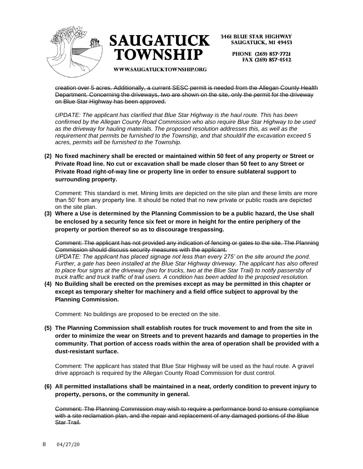



**SAUGATUCK, MI 49453** 

PHONE (269) 857-7721 FAX (269) 857-4542

**WWW.SAUGATUCKTOWNSHIP.ORG** 

creation over 5 acres. Additionally, a current SESC permit is needed from the Allegan County Health Department. Concerning the driveways, two are shown on the site, only the permit for the driveway on Blue Star Highway has been approved.

*UPDATE: The applicant has clarified that Blue Star Highway is the haul route. This has been confirmed by the Allegan County Road Commission who also require Blue Star Highway to be used as the driveway for hauling materials. The proposed resolution addresses this, as well as the requirement that permits be furnished to the Township, and that should/if the excavation exceed 5 acres, permits will be furnished to the Township.* 

**(2) No fixed machinery shall be erected or maintained within 50 feet of any property or Street or Private Road line. No cut or excavation shall be made closer than 50 feet to any Street or Private Road right-of-way line or property line in order to ensure sublateral support to surrounding property.** 

Comment: This standard is met. Mining limits are depicted on the site plan and these limits are more than 50' from any property line. It should be noted that no new private or public roads are depicted on the site plan.

**(3) Where a Use is determined by the Planning Commission to be a public hazard, the Use shall be enclosed by a security fence six feet or more in height for the entire periphery of the property or portion thereof so as to discourage trespassing.** 

Comment: The applicant has not provided any indication of fencing or gates to the site. The Planning Commission should discuss security measures with the applicant.

*UPDATE: The applicant has placed signage not less than every 275' on the site around the pond. Further, a gate has been installed at the Blue Star Highway driveway. The applicant has also offered to place four signs at the driveway (two for trucks, two at the Blue Star Trail) to notify passersby of truck traffic and truck traffic of trail users. A condition has been added to the proposed resolution.* 

**(4) No Building shall be erected on the premises except as may be permitted in this chapter or except as temporary shelter for machinery and a field office subject to approval by the Planning Commission.** 

Comment: No buildings are proposed to be erected on the site.

**(5) The Planning Commission shall establish routes for truck movement to and from the site in order to minimize the wear on Streets and to prevent hazards and damage to properties in the community. That portion of access roads within the area of operation shall be provided with a dust-resistant surface.** 

Comment: The applicant has stated that Blue Star Highway will be used as the haul route. A gravel drive approach is required by the Allegan County Road Commission for dust control.

### **(6) All permitted installations shall be maintained in a neat, orderly condition to prevent injury to property, persons, or the community in general.**

Comment: The Planning Commission may wish to require a performance bond to ensure compliance with a site reclamation plan, and the repair and replacement of any damaged portions of the Blue Star Trail.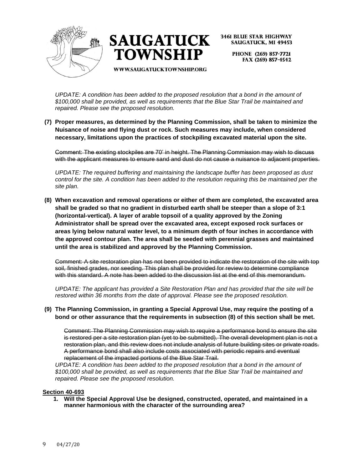



> PHONE (269) 857-7721 FAX (269) 857-4542

WWW.SAUGATUCKTOWNSHIP.ORG

*UPDATE: A condition has been added to the proposed resolution that a bond in the amount of \$100,000 shall be provided, as well as requirements that the Blue Star Trail be maintained and repaired. Please see the proposed resolution.* 

**(7) Proper measures, as determined by the Planning Commission, shall be taken to minimize the Nuisance of noise and flying dust or rock. Such measures may include, when considered necessary, limitations upon the practices of stockpiling excavated material upon the site.** 

Comment: The existing stockpiles are 70' in height. The Planning Commission may wish to discuss with the applicant measures to ensure sand and dust do not cause a nuisance to adjacent properties.

*UPDATE: The required buffering and maintaining the landscape buffer has been proposed as dust control for the site. A condition has been added to the resolution requiring this be maintained per the site plan.* 

**(8) When excavation and removal operations or either of them are completed, the excavated area shall be graded so that no gradient in disturbed earth shall be steeper than a slope of 3:1 (horizontal-vertical). A layer of arable topsoil of a quality approved by the Zoning Administrator shall be spread over the excavated area, except exposed rock surfaces or areas lying below natural water level, to a minimum depth of four inches in accordance with the approved contour plan. The area shall be seeded with perennial grasses and maintained until the area is stabilized and approved by the Planning Commission.** 

Comment: A site restoration plan has not been provided to indicate the restoration of the site with top soil, finished grades, nor seeding. This plan shall be provided for review to determine compliance with this standard. A note has been added to the discussion list at the end of this memorandum.

*UPDATE: The applicant has provided a Site Restoration Plan and has provided that the site will be restored within 36 months from the date of approval. Please see the proposed resolution.* 

### **(9) The Planning Commission, in granting a Special Approval Use, may require the posting of a bond or other assurance that the requirements in subsection (8) of this section shall be met.**

Comment: The Planning Commission may wish to require a performance bond to ensure the site is restored per a site restoration plan (yet to be submitted). The overall development plan is not a restoration plan, and this review does not include analysis of future building sites or private roads. A performance bond shall also include costs associated with periodic repairs and eventual replacement of the impacted portions of the Blue Star Trail.

*UPDATE: A condition has been added to the proposed resolution that a bond in the amount of \$100,000 shall be provided, as well as requirements that the Blue Star Trail be maintained and repaired. Please see the proposed resolution.* 

### **Section 40-693**

**1. Will the Special Approval Use be designed, constructed, operated, and maintained in a manner harmonious with the character of the surrounding area?**